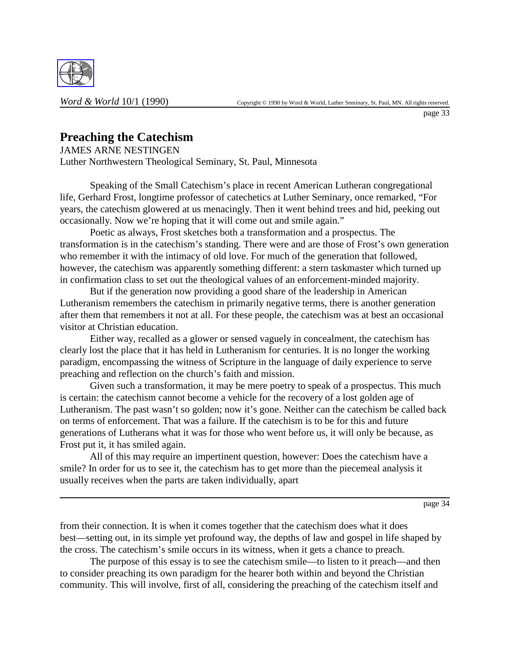

# **Preaching the Catechism**

JAMES ARNE NESTINGEN

Luther Northwestern Theological Seminary, St. Paul, Minnesota

Speaking of the Small Catechism's place in recent American Lutheran congregational life, Gerhard Frost, longtime professor of catechetics at Luther Seminary, once remarked, "For years, the catechism glowered at us menacingly. Then it went behind trees and hid, peeking out occasionally. Now we're hoping that it will come out and smile again."

Poetic as always, Frost sketches both a transformation and a prospectus. The transformation is in the catechism's standing. There were and are those of Frost's own generation who remember it with the intimacy of old love. For much of the generation that followed, however, the catechism was apparently something different: a stern taskmaster which turned up in confirmation class to set out the theological values of an enforcement-minded majority.

But if the generation now providing a good share of the leadership in American Lutheranism remembers the catechism in primarily negative terms, there is another generation after them that remembers it not at all. For these people, the catechism was at best an occasional visitor at Christian education.

Either way, recalled as a glower or sensed vaguely in concealment, the catechism has clearly lost the place that it has held in Lutheranism for centuries. It is no longer the working paradigm, encompassing the witness of Scripture in the language of daily experience to serve preaching and reflection on the church's faith and mission.

Given such a transformation, it may be mere poetry to speak of a prospectus. This much is certain: the catechism cannot become a vehicle for the recovery of a lost golden age of Lutheranism. The past wasn't so golden; now it's gone. Neither can the catechism be called back on terms of enforcement. That was a failure. If the catechism is to be for this and future generations of Lutherans what it was for those who went before us, it will only be because, as Frost put it, it has smiled again.

All of this may require an impertinent question, however: Does the catechism have a smile? In order for us to see it, the catechism has to get more than the piecemeal analysis it usually receives when the parts are taken individually, apart

page 34

from their connection. It is when it comes together that the catechism does what it does best—setting out, in its simple yet profound way, the depths of law and gospel in life shaped by the cross. The catechism's smile occurs in its witness, when it gets a chance to preach.

The purpose of this essay is to see the catechism smile—to listen to it preach—and then to consider preaching its own paradigm for the hearer both within and beyond the Christian community. This will involve, first of all, considering the preaching of the catechism itself and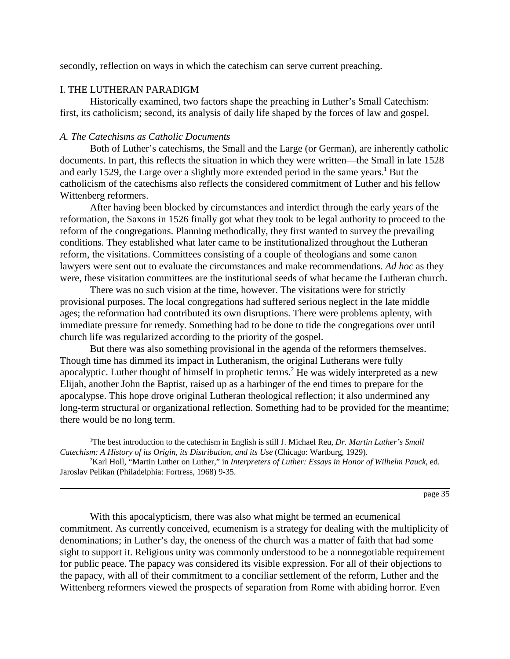secondly, reflection on ways in which the catechism can serve current preaching.

# I. THE LUTHERAN PARADIGM

Historically examined, two factors shape the preaching in Luther's Small Catechism: first, its catholicism; second, its analysis of daily life shaped by the forces of law and gospel.

# *A. The Catechisms as Catholic Documents*

Both of Luther's catechisms, the Small and the Large (or German), are inherently catholic documents. In part, this reflects the situation in which they were written—the Small in late 1528 and early 1529, the Large over a slightly more extended period in the same years.<sup>1</sup> But the catholicism of the catechisms also reflects the considered commitment of Luther and his fellow Wittenberg reformers.

After having been blocked by circumstances and interdict through the early years of the reformation, the Saxons in 1526 finally got what they took to be legal authority to proceed to the reform of the congregations. Planning methodically, they first wanted to survey the prevailing conditions. They established what later came to be institutionalized throughout the Lutheran reform, the visitations. Committees consisting of a couple of theologians and some canon lawyers were sent out to evaluate the circumstances and make recommendations. *Ad hoc* as they were, these visitation committees are the institutional seeds of what became the Lutheran church.

There was no such vision at the time, however. The visitations were for strictly provisional purposes. The local congregations had suffered serious neglect in the late middle ages; the reformation had contributed its own disruptions. There were problems aplenty, with immediate pressure for remedy. Something had to be done to tide the congregations over until church life was regularized according to the priority of the gospel.

But there was also something provisional in the agenda of the reformers themselves. Though time has dimmed its impact in Lutheranism, the original Lutherans were fully apocalyptic. Luther thought of himself in prophetic terms.<sup>2</sup> He was widely interpreted as a new Elijah, another John the Baptist, raised up as a harbinger of the end times to prepare for the apocalypse. This hope drove original Lutheran theological reflection; it also undermined any long-term structural or organizational reflection. Something had to be provided for the meantime; there would be no long term.

<sup>1</sup>The best introduction to the catechism in English is still J. Michael Reu, *Dr. Martin Luther's Small Catechism: A History of its Origin, its Distribution, and its Use* (Chicago: Wartburg, 1929).

2 Karl Holl, "Martin Luther on Luther," in *Interpreters of Luther: Essays in Honor of Wilhelm Pauck*, ed. Jaroslav Pelikan (Philadelphia: Fortress, 1968) 9-35.

page 35

With this apocalypticism, there was also what might be termed an ecumenical commitment. As currently conceived, ecumenism is a strategy for dealing with the multiplicity of denominations; in Luther's day, the oneness of the church was a matter of faith that had some sight to support it. Religious unity was commonly understood to be a nonnegotiable requirement for public peace. The papacy was considered its visible expression. For all of their objections to the papacy, with all of their commitment to a conciliar settlement of the reform, Luther and the Wittenberg reformers viewed the prospects of separation from Rome with abiding horror. Even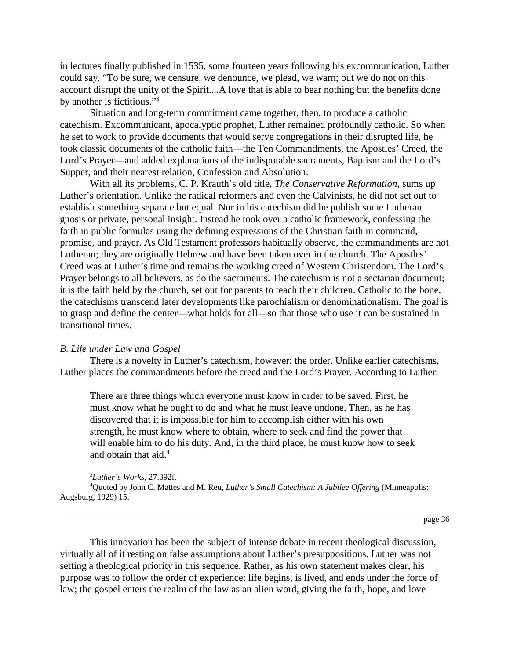in lectures finally published in 1535, some fourteen years following his excommunication, Luther could say, "To be sure, we censure, we denounce, we plead, we warn; but we do not on this account disrupt the unity of the Spirit....A love that is able to bear nothing but the benefits done by another is fictitious."<sup>3</sup>

Situation and long-term commitment came together, then, to produce a catholic catechism. Excommunicant, apocalyptic prophet, Luther remained profoundly catholic. So when he set to work to provide documents that would serve congregations in their disrupted life, he took classic documents of the catholic faith—the Ten Commandments, the Apostles' Creed, the Lord's Prayer—and added explanations of the indisputable sacraments, Baptism and the Lord's Supper, and their nearest relation, Confession and Absolution.

With all its problems, C. P. Krauth's old title, *The Conservative Reformation*, sums up Luther's orientation. Unlike the radical reformers and even the Calvinists, he did not set out to establish something separate but equal. Nor in his catechism did he publish some Lutheran gnosis or private, personal insight. Instead he took over a catholic framework, confessing the faith in public formulas using the defining expressions of the Christian faith in command, promise, and prayer. As Old Testament professors habitually observe, the commandments are not Lutheran; they are originally Hebrew and have been taken over in the church. The Apostles' Creed was at Luther's time and remains the working creed of Western Christendom. The Lord's Prayer belongs to all believers, as do the sacraments. The catechism is not a sectarian document; it is the faith held by the church, set out for parents to teach their children. Catholic to the bone, the catechisms transcend later developments like parochialism or denominationalism. The goal is to grasp and define the center—what holds for all—so that those who use it can be sustained in transitional times.

### *B. Life under Law and Gospel*

There is a novelty in Luther's catechism, however: the order. Unlike earlier catechisms, Luther places the commandments before the creed and the Lord's Prayer. According to Luther:

There are three things which everyone must know in order to be saved. First, he must know what he ought to do and what he must leave undone. Then, as he has discovered that it is impossible for him to accomplish either with his own strength, he must know where to obtain, where to seek and find the power that will enable him to do his duty. And, in the third place, he must know how to seek and obtain that aid.<sup>4</sup>

#### 3 *Luther's Works*, 27.392f.

4 Quoted by John C. Mattes and M. Reu, *Luther's Small Catechism: A Jubilee Offering* (Minneapolis: Augsburg, 1929) 15.

page 36

This innovation has been the subject of intense debate in recent theological discussion, virtually all of it resting on false assumptions about Luther's presuppositions. Luther was not setting a theological priority in this sequence. Rather, as his own statement makes clear, his purpose was to follow the order of experience: life begins, is lived, and ends under the force of law; the gospel enters the realm of the law as an alien word, giving the faith, hope, and love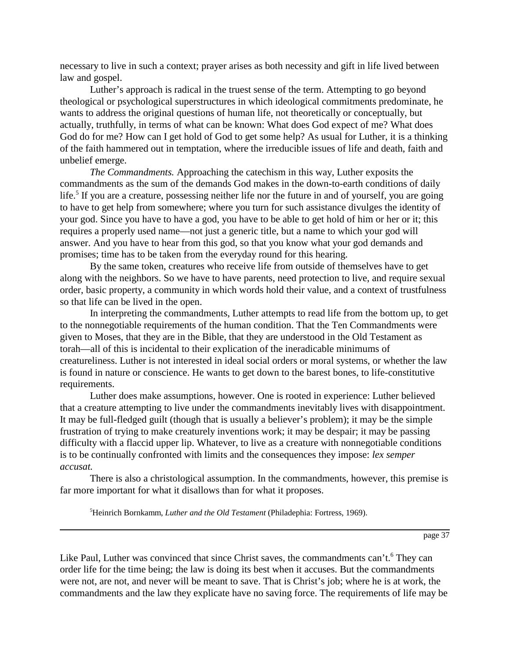necessary to live in such a context; prayer arises as both necessity and gift in life lived between law and gospel.

Luther's approach is radical in the truest sense of the term. Attempting to go beyond theological or psychological superstructures in which ideological commitments predominate, he wants to address the original questions of human life, not theoretically or conceptually, but actually, truthfully, in terms of what can be known: What does God expect of me? What does God do for me? How can I get hold of God to get some help? As usual for Luther, it is a thinking of the faith hammered out in temptation, where the irreducible issues of life and death, faith and unbelief emerge.

*The Commandments.* Approaching the catechism in this way, Luther exposits the commandments as the sum of the demands God makes in the down-to-earth conditions of daily life.<sup>5</sup> If you are a creature, possessing neither life nor the future in and of yourself, you are going to have to get help from somewhere; where you turn for such assistance divulges the identity of your god. Since you have to have a god, you have to be able to get hold of him or her or it; this requires a properly used name—not just a generic title, but a name to which your god will answer. And you have to hear from this god, so that you know what your god demands and promises; time has to be taken from the everyday round for this hearing.

By the same token, creatures who receive life from outside of themselves have to get along with the neighbors. So we have to have parents, need protection to live, and require sexual order, basic property, a community in which words hold their value, and a context of trustfulness so that life can be lived in the open.

In interpreting the commandments, Luther attempts to read life from the bottom up, to get to the nonnegotiable requirements of the human condition. That the Ten Commandments were given to Moses, that they are in the Bible, that they are understood in the Old Testament as torah—all of this is incidental to their explication of the ineradicable minimums of creatureliness. Luther is not interested in ideal social orders or moral systems, or whether the law is found in nature or conscience. He wants to get down to the barest bones, to life-constitutive requirements.

Luther does make assumptions, however. One is rooted in experience: Luther believed that a creature attempting to live under the commandments inevitably lives with disappointment. It may be full-fledged guilt (though that is usually a believer's problem); it may be the simple frustration of trying to make creaturely inventions work; it may be despair; it may be passing difficulty with a flaccid upper lip. Whatever, to live as a creature with nonnegotiable conditions is to be continually confronted with limits and the consequences they impose: *lex semper accusat.*

There is also a christological assumption. In the commandments, however, this premise is far more important for what it disallows than for what it proposes.

5 Heinrich Bornkamm, *Luther and the Old Testament* (Philadephia: Fortress, 1969).

page 37

Like Paul, Luther was convinced that since Christ saves, the commandments can't.<sup>6</sup> They can order life for the time being; the law is doing its best when it accuses. But the commandments were not, are not, and never will be meant to save. That is Christ's job; where he is at work, the commandments and the law they explicate have no saving force. The requirements of life may be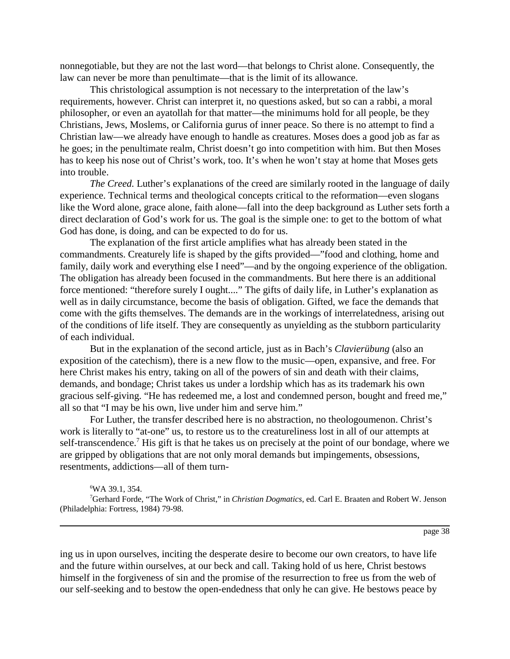nonnegotiable, but they are not the last word—that belongs to Christ alone. Consequently, the law can never be more than penultimate—that is the limit of its allowance.

This christological assumption is not necessary to the interpretation of the law's requirements, however. Christ can interpret it, no questions asked, but so can a rabbi, a moral philosopher, or even an ayatollah for that matter—the minimums hold for all people, be they Christians, Jews, Moslems, or California gurus of inner peace. So there is no attempt to find a Christian law—we already have enough to handle as creatures. Moses does a good job as far as he goes; in the penultimate realm, Christ doesn't go into competition with him. But then Moses has to keep his nose out of Christ's work, too. It's when he won't stay at home that Moses gets into trouble.

*The Creed.* Luther's explanations of the creed are similarly rooted in the language of daily experience. Technical terms and theological concepts critical to the reformation—even slogans like the Word alone, grace alone, faith alone—fall into the deep background as Luther sets forth a direct declaration of God's work for us. The goal is the simple one: to get to the bottom of what God has done, is doing, and can be expected to do for us.

The explanation of the first article amplifies what has already been stated in the commandments. Creaturely life is shaped by the gifts provided—"food and clothing, home and family, daily work and everything else I need"—and by the ongoing experience of the obligation. The obligation has already been focused in the commandments. But here there is an additional force mentioned: "therefore surely I ought...." The gifts of daily life, in Luther's explanation as well as in daily circumstance, become the basis of obligation. Gifted, we face the demands that come with the gifts themselves. The demands are in the workings of interrelatedness, arising out of the conditions of life itself. They are consequently as unyielding as the stubborn particularity of each individual.

But in the explanation of the second article, just as in Bach's *Clavierübung* (also an exposition of the catechism), there is a new flow to the music—open, expansive, and free. For here Christ makes his entry, taking on all of the powers of sin and death with their claims, demands, and bondage; Christ takes us under a lordship which has as its trademark his own gracious self-giving. "He has redeemed me, a lost and condemned person, bought and freed me," all so that "I may be his own, live under him and serve him."

For Luther, the transfer described here is no abstraction, no theologoumenon. Christ's work is literally to "at-one" us, to restore us to the creatureliness lost in all of our attempts at self-transcendence.<sup>7</sup> His gift is that he takes us on precisely at the point of our bondage, where we are gripped by obligations that are not only moral demands but impingements, obsessions, resentments, addictions—all of them turn-

6 WA 39.1, 354.

7 Gerhard Forde, "The Work of Christ," in *Christian Dogmatics*, ed. Carl E. Braaten and Robert W. Jenson (Philadelphia: Fortress, 1984) 79-98.

page 38

ing us in upon ourselves, inciting the desperate desire to become our own creators, to have life and the future within ourselves, at our beck and call. Taking hold of us here, Christ bestows himself in the forgiveness of sin and the promise of the resurrection to free us from the web of our self-seeking and to bestow the open-endedness that only he can give. He bestows peace by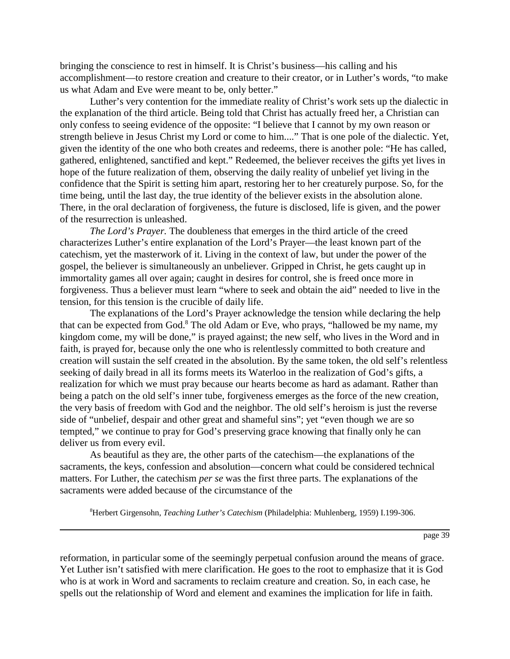bringing the conscience to rest in himself. It is Christ's business—his calling and his accomplishment—to restore creation and creature to their creator, or in Luther's words, "to make us what Adam and Eve were meant to be, only better."

Luther's very contention for the immediate reality of Christ's work sets up the dialectic in the explanation of the third article. Being told that Christ has actually freed her, a Christian can only confess to seeing evidence of the opposite: "I believe that I cannot by my own reason or strength believe in Jesus Christ my Lord or come to him...." That is one pole of the dialectic. Yet, given the identity of the one who both creates and redeems, there is another pole: "He has called, gathered, enlightened, sanctified and kept." Redeemed, the believer receives the gifts yet lives in hope of the future realization of them, observing the daily reality of unbelief yet living in the confidence that the Spirit is setting him apart, restoring her to her creaturely purpose. So, for the time being, until the last day, the true identity of the believer exists in the absolution alone. There, in the oral declaration of forgiveness, the future is disclosed, life is given, and the power of the resurrection is unleashed.

*The Lord's Prayer.* The doubleness that emerges in the third article of the creed characterizes Luther's entire explanation of the Lord's Prayer—the least known part of the catechism, yet the masterwork of it. Living in the context of law, but under the power of the gospel, the believer is simultaneously an unbeliever. Gripped in Christ, he gets caught up in immortality games all over again; caught in desires for control, she is freed once more in forgiveness. Thus a believer must learn "where to seek and obtain the aid" needed to live in the tension, for this tension is the crucible of daily life.

The explanations of the Lord's Prayer acknowledge the tension while declaring the help that can be expected from God.<sup>8</sup> The old Adam or Eve, who prays, "hallowed be my name, my kingdom come, my will be done," is prayed against; the new self, who lives in the Word and in faith, is prayed for, because only the one who is relentlessly committed to both creature and creation will sustain the self created in the absolution. By the same token, the old self's relentless seeking of daily bread in all its forms meets its Waterloo in the realization of God's gifts, a realization for which we must pray because our hearts become as hard as adamant. Rather than being a patch on the old self's inner tube, forgiveness emerges as the force of the new creation, the very basis of freedom with God and the neighbor. The old self's heroism is just the reverse side of "unbelief, despair and other great and shameful sins"; yet "even though we are so tempted," we continue to pray for God's preserving grace knowing that finally only he can deliver us from every evil.

As beautiful as they are, the other parts of the catechism—the explanations of the sacraments, the keys, confession and absolution—concern what could be considered technical matters. For Luther, the catechism *per se* was the first three parts. The explanations of the sacraments were added because of the circumstance of the

8 Herbert Girgensohn, *Teaching Luther's Catechism* (Philadelphia: Muhlenberg, 1959) I.199-306.

page 39

reformation, in particular some of the seemingly perpetual confusion around the means of grace. Yet Luther isn't satisfied with mere clarification. He goes to the root to emphasize that it is God who is at work in Word and sacraments to reclaim creature and creation. So, in each case, he spells out the relationship of Word and element and examines the implication for life in faith.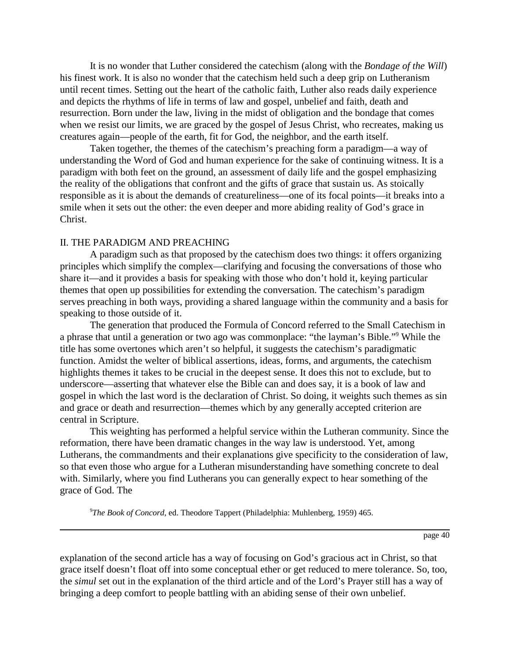It is no wonder that Luther considered the catechism (along with the *Bondage of the Will*) his finest work. It is also no wonder that the catechism held such a deep grip on Lutheranism until recent times. Setting out the heart of the catholic faith, Luther also reads daily experience and depicts the rhythms of life in terms of law and gospel, unbelief and faith, death and resurrection. Born under the law, living in the midst of obligation and the bondage that comes when we resist our limits, we are graced by the gospel of Jesus Christ, who recreates, making us creatures again—people of the earth, fit for God, the neighbor, and the earth itself.

Taken together, the themes of the catechism's preaching form a paradigm—a way of understanding the Word of God and human experience for the sake of continuing witness. It is a paradigm with both feet on the ground, an assessment of daily life and the gospel emphasizing the reality of the obligations that confront and the gifts of grace that sustain us. As stoically responsible as it is about the demands of creatureliness—one of its focal points—it breaks into a smile when it sets out the other: the even deeper and more abiding reality of God's grace in Christ.

## II. THE PARADIGM AND PREACHING

A paradigm such as that proposed by the catechism does two things: it offers organizing principles which simplify the complex—clarifying and focusing the conversations of those who share it—and it provides a basis for speaking with those who don't hold it, keying particular themes that open up possibilities for extending the conversation. The catechism's paradigm serves preaching in both ways, providing a shared language within the community and a basis for speaking to those outside of it.

The generation that produced the Formula of Concord referred to the Small Catechism in a phrase that until a generation or two ago was commonplace: "the layman's Bible."<sup>9</sup> While the title has some overtones which aren't so helpful, it suggests the catechism's paradigmatic function. Amidst the welter of biblical assertions, ideas, forms, and arguments, the catechism highlights themes it takes to be crucial in the deepest sense. It does this not to exclude, but to underscore—asserting that whatever else the Bible can and does say, it is a book of law and gospel in which the last word is the declaration of Christ. So doing, it weights such themes as sin and grace or death and resurrection—themes which by any generally accepted criterion are central in Scripture.

This weighting has performed a helpful service within the Lutheran community. Since the reformation, there have been dramatic changes in the way law is understood. Yet, among Lutherans, the commandments and their explanations give specificity to the consideration of law, so that even those who argue for a Lutheran misunderstanding have something concrete to deal with. Similarly, where you find Lutherans you can generally expect to hear something of the grace of God. The

9 *The Book of Concord*, ed. Theodore Tappert (Philadelphia: Muhlenberg, 1959) 465.

page 40

explanation of the second article has a way of focusing on God's gracious act in Christ, so that grace itself doesn't float off into some conceptual ether or get reduced to mere tolerance. So, too, the *simul* set out in the explanation of the third article and of the Lord's Prayer still has a way of bringing a deep comfort to people battling with an abiding sense of their own unbelief.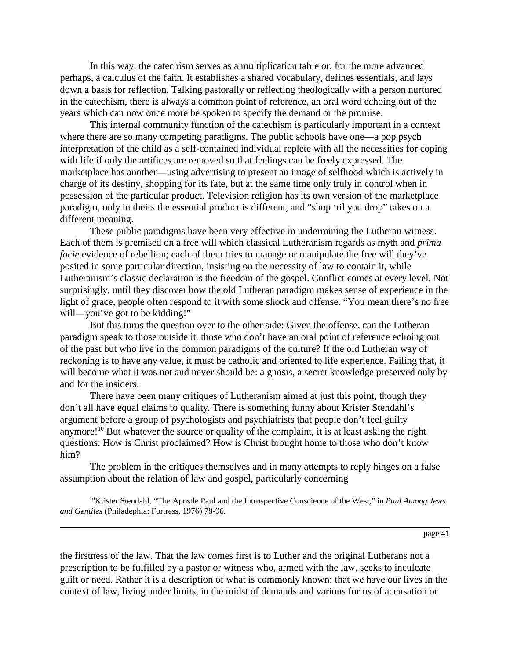In this way, the catechism serves as a multiplication table or, for the more advanced perhaps, a calculus of the faith. It establishes a shared vocabulary, defines essentials, and lays down a basis for reflection. Talking pastorally or reflecting theologically with a person nurtured in the catechism, there is always a common point of reference, an oral word echoing out of the years which can now once more be spoken to specify the demand or the promise.

This internal community function of the catechism is particularly important in a context where there are so many competing paradigms. The public schools have one—a pop psych interpretation of the child as a self-contained individual replete with all the necessities for coping with life if only the artifices are removed so that feelings can be freely expressed. The marketplace has another—using advertising to present an image of selfhood which is actively in charge of its destiny, shopping for its fate, but at the same time only truly in control when in possession of the particular product. Television religion has its own version of the marketplace paradigm, only in theirs the essential product is different, and "shop 'til you drop" takes on a different meaning.

These public paradigms have been very effective in undermining the Lutheran witness. Each of them is premised on a free will which classical Lutheranism regards as myth and *prima facie* evidence of rebellion; each of them tries to manage or manipulate the free will they've posited in some particular direction, insisting on the necessity of law to contain it, while Lutheranism's classic declaration is the freedom of the gospel. Conflict comes at every level. Not surprisingly, until they discover how the old Lutheran paradigm makes sense of experience in the light of grace, people often respond to it with some shock and offense. "You mean there's no free will—you've got to be kidding!"

But this turns the question over to the other side: Given the offense, can the Lutheran paradigm speak to those outside it, those who don't have an oral point of reference echoing out of the past but who live in the common paradigms of the culture? If the old Lutheran way of reckoning is to have any value, it must be catholic and oriented to life experience. Failing that, it will become what it was not and never should be: a gnosis, a secret knowledge preserved only by and for the insiders.

There have been many critiques of Lutheranism aimed at just this point, though they don't all have equal claims to quality. There is something funny about Krister Stendahl's argument before a group of psychologists and psychiatrists that people don't feel guilty anymore!<sup>10</sup> But whatever the source or quality of the complaint, it is at least asking the right questions: How is Christ proclaimed? How is Christ brought home to those who don't know him?

The problem in the critiques themselves and in many attempts to reply hinges on a false assumption about the relation of law and gospel, particularly concerning

10Krister Stendahl, "The Apostle Paul and the Introspective Conscience of the West," in *Paul Among Jews and Gentiles* (Philadephia: Fortress, 1976) 78-96.

page 41

the firstness of the law. That the law comes first is to Luther and the original Lutherans not a prescription to be fulfilled by a pastor or witness who, armed with the law, seeks to inculcate guilt or need. Rather it is a description of what is commonly known: that we have our lives in the context of law, living under limits, in the midst of demands and various forms of accusation or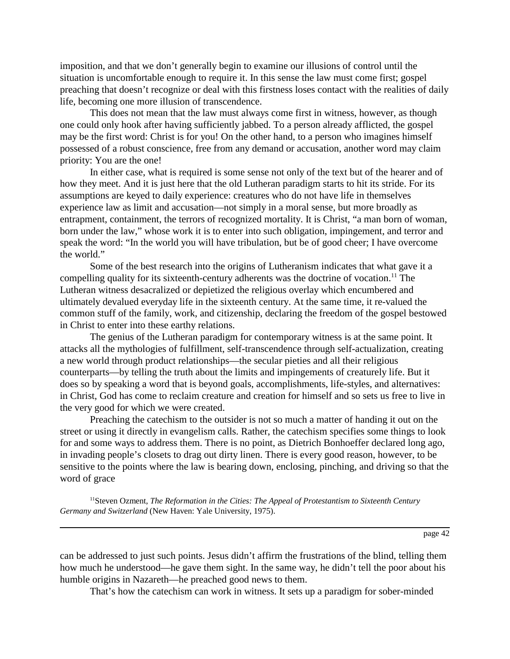imposition, and that we don't generally begin to examine our illusions of control until the situation is uncomfortable enough to require it. In this sense the law must come first; gospel preaching that doesn't recognize or deal with this firstness loses contact with the realities of daily life, becoming one more illusion of transcendence.

This does not mean that the law must always come first in witness, however, as though one could only hook after having sufficiently jabbed. To a person already afflicted, the gospel may be the first word: Christ is for you! On the other hand, to a person who imagines himself possessed of a robust conscience, free from any demand or accusation, another word may claim priority: You are the one!

In either case, what is required is some sense not only of the text but of the hearer and of how they meet. And it is just here that the old Lutheran paradigm starts to hit its stride. For its assumptions are keyed to daily experience: creatures who do not have life in themselves experience law as limit and accusation—not simply in a moral sense, but more broadly as entrapment, containment, the terrors of recognized mortality. It is Christ, "a man born of woman, born under the law," whose work it is to enter into such obligation, impingement, and terror and speak the word: "In the world you will have tribulation, but be of good cheer; I have overcome the world."

Some of the best research into the origins of Lutheranism indicates that what gave it a compelling quality for its sixteenth-century adherents was the doctrine of vocation.<sup>11</sup> The Lutheran witness desacralized or depietized the religious overlay which encumbered and ultimately devalued everyday life in the sixteenth century. At the same time, it re-valued the common stuff of the family, work, and citizenship, declaring the freedom of the gospel bestowed in Christ to enter into these earthy relations.

The genius of the Lutheran paradigm for contemporary witness is at the same point. It attacks all the mythologies of fulfillment, self-transcendence through self-actualization, creating a new world through product relationships—the secular pieties and all their religious counterparts—by telling the truth about the limits and impingements of creaturely life. But it does so by speaking a word that is beyond goals, accomplishments, life-styles, and alternatives: in Christ, God has come to reclaim creature and creation for himself and so sets us free to live in the very good for which we were created.

Preaching the catechism to the outsider is not so much a matter of handing it out on the street or using it directly in evangelism calls. Rather, the catechism specifies some things to look for and some ways to address them. There is no point, as Dietrich Bonhoeffer declared long ago, in invading people's closets to drag out dirty linen. There is every good reason, however, to be sensitive to the points where the law is bearing down, enclosing, pinching, and driving so that the word of grace

11Steven Ozment, *The Reformation in the Cities: The Appeal of Protestantism to Sixteenth Century Germany and Switzerland* (New Haven: Yale University, 1975).

page 42

can be addressed to just such points. Jesus didn't affirm the frustrations of the blind, telling them how much he understood—he gave them sight. In the same way, he didn't tell the poor about his humble origins in Nazareth—he preached good news to them.

That's how the catechism can work in witness. It sets up a paradigm for sober-minded